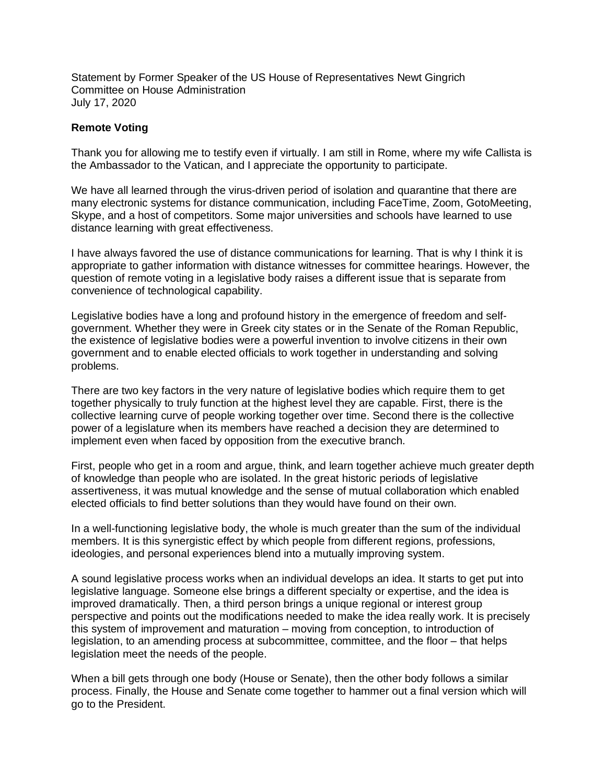Statement by Former Speaker of the US House of Representatives Newt Gingrich Committee on House Administration July 17, 2020

## **Remote Voting**

Thank you for allowing me to testify even if virtually. I am still in Rome, where my wife Callista is the Ambassador to the Vatican, and I appreciate the opportunity to participate.

We have all learned through the virus-driven period of isolation and quarantine that there are many electronic systems for distance communication, including FaceTime, Zoom, GotoMeeting, Skype, and a host of competitors. Some major universities and schools have learned to use distance learning with great effectiveness.

I have always favored the use of distance communications for learning. That is why I think it is appropriate to gather information with distance witnesses for committee hearings. However, the question of remote voting in a legislative body raises a different issue that is separate from convenience of technological capability.

Legislative bodies have a long and profound history in the emergence of freedom and selfgovernment. Whether they were in Greek city states or in the Senate of the Roman Republic, the existence of legislative bodies were a powerful invention to involve citizens in their own government and to enable elected officials to work together in understanding and solving problems.

There are two key factors in the very nature of legislative bodies which require them to get together physically to truly function at the highest level they are capable. First, there is the collective learning curve of people working together over time. Second there is the collective power of a legislature when its members have reached a decision they are determined to implement even when faced by opposition from the executive branch.

First, people who get in a room and argue, think, and learn together achieve much greater depth of knowledge than people who are isolated. In the great historic periods of legislative assertiveness, it was mutual knowledge and the sense of mutual collaboration which enabled elected officials to find better solutions than they would have found on their own.

In a well-functioning legislative body, the whole is much greater than the sum of the individual members. It is this synergistic effect by which people from different regions, professions, ideologies, and personal experiences blend into a mutually improving system.

A sound legislative process works when an individual develops an idea. It starts to get put into legislative language. Someone else brings a different specialty or expertise, and the idea is improved dramatically. Then, a third person brings a unique regional or interest group perspective and points out the modifications needed to make the idea really work. It is precisely this system of improvement and maturation – moving from conception, to introduction of legislation, to an amending process at subcommittee, committee, and the floor – that helps legislation meet the needs of the people.

When a bill gets through one body (House or Senate), then the other body follows a similar process. Finally, the House and Senate come together to hammer out a final version which will go to the President.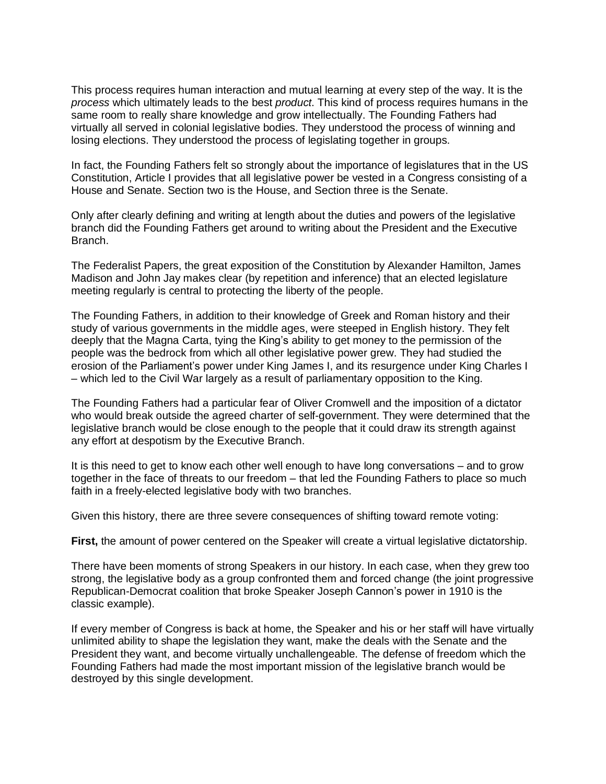This process requires human interaction and mutual learning at every step of the way. It is the *process* which ultimately leads to the best *product*. This kind of process requires humans in the same room to really share knowledge and grow intellectually. The Founding Fathers had virtually all served in colonial legislative bodies. They understood the process of winning and losing elections. They understood the process of legislating together in groups.

In fact, the Founding Fathers felt so strongly about the importance of legislatures that in the US Constitution, Article I provides that all legislative power be vested in a Congress consisting of a House and Senate. Section two is the House, and Section three is the Senate.

Only after clearly defining and writing at length about the duties and powers of the legislative branch did the Founding Fathers get around to writing about the President and the Executive Branch.

The Federalist Papers, the great exposition of the Constitution by Alexander Hamilton, James Madison and John Jay makes clear (by repetition and inference) that an elected legislature meeting regularly is central to protecting the liberty of the people.

The Founding Fathers, in addition to their knowledge of Greek and Roman history and their study of various governments in the middle ages, were steeped in English history. They felt deeply that the Magna Carta, tying the King's ability to get money to the permission of the people was the bedrock from which all other legislative power grew. They had studied the erosion of the Parliament's power under King James I, and its resurgence under King Charles I – which led to the Civil War largely as a result of parliamentary opposition to the King.

The Founding Fathers had a particular fear of Oliver Cromwell and the imposition of a dictator who would break outside the agreed charter of self-government. They were determined that the legislative branch would be close enough to the people that it could draw its strength against any effort at despotism by the Executive Branch.

It is this need to get to know each other well enough to have long conversations – and to grow together in the face of threats to our freedom – that led the Founding Fathers to place so much faith in a freely-elected legislative body with two branches.

Given this history, there are three severe consequences of shifting toward remote voting:

**First,** the amount of power centered on the Speaker will create a virtual legislative dictatorship.

There have been moments of strong Speakers in our history. In each case, when they grew too strong, the legislative body as a group confronted them and forced change (the joint progressive Republican-Democrat coalition that broke Speaker Joseph Cannon's power in 1910 is the classic example).

If every member of Congress is back at home, the Speaker and his or her staff will have virtually unlimited ability to shape the legislation they want, make the deals with the Senate and the President they want, and become virtually unchallengeable. The defense of freedom which the Founding Fathers had made the most important mission of the legislative branch would be destroyed by this single development.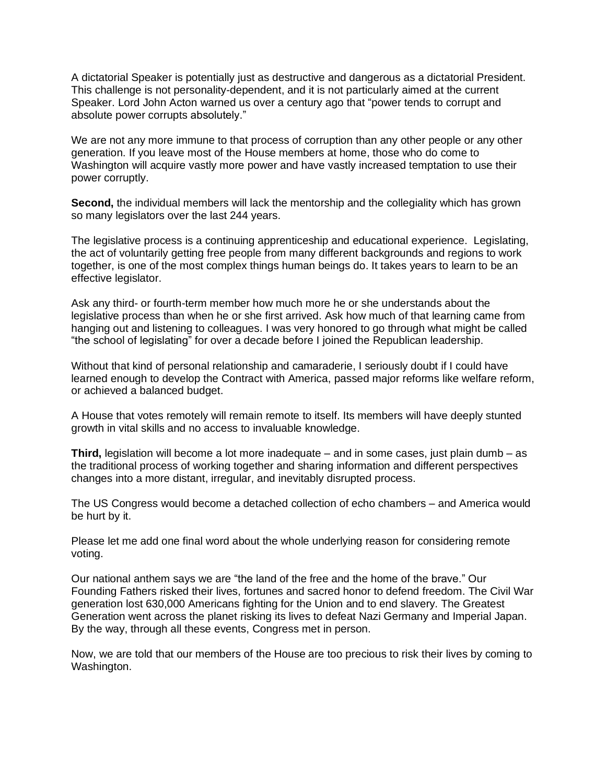A dictatorial Speaker is potentially just as destructive and dangerous as a dictatorial President. This challenge is not personality-dependent, and it is not particularly aimed at the current Speaker. Lord John Acton warned us over a century ago that "power tends to corrupt and absolute power corrupts absolutely."

We are not any more immune to that process of corruption than any other people or any other generation. If you leave most of the House members at home, those who do come to Washington will acquire vastly more power and have vastly increased temptation to use their power corruptly.

**Second,** the individual members will lack the mentorship and the collegiality which has grown so many legislators over the last 244 years.

The legislative process is a continuing apprenticeship and educational experience. Legislating, the act of voluntarily getting free people from many different backgrounds and regions to work together, is one of the most complex things human beings do. It takes years to learn to be an effective legislator.

Ask any third- or fourth-term member how much more he or she understands about the legislative process than when he or she first arrived. Ask how much of that learning came from hanging out and listening to colleagues. I was very honored to go through what might be called "the school of legislating" for over a decade before I joined the Republican leadership.

Without that kind of personal relationship and camaraderie, I seriously doubt if I could have learned enough to develop the Contract with America, passed major reforms like welfare reform, or achieved a balanced budget.

A House that votes remotely will remain remote to itself. Its members will have deeply stunted growth in vital skills and no access to invaluable knowledge.

**Third,** legislation will become a lot more inadequate – and in some cases, just plain dumb – as the traditional process of working together and sharing information and different perspectives changes into a more distant, irregular, and inevitably disrupted process.

The US Congress would become a detached collection of echo chambers – and America would be hurt by it.

Please let me add one final word about the whole underlying reason for considering remote voting.

Our national anthem says we are "the land of the free and the home of the brave." Our Founding Fathers risked their lives, fortunes and sacred honor to defend freedom. The Civil War generation lost 630,000 Americans fighting for the Union and to end slavery. The Greatest Generation went across the planet risking its lives to defeat Nazi Germany and Imperial Japan. By the way, through all these events, Congress met in person.

Now, we are told that our members of the House are too precious to risk their lives by coming to Washington.